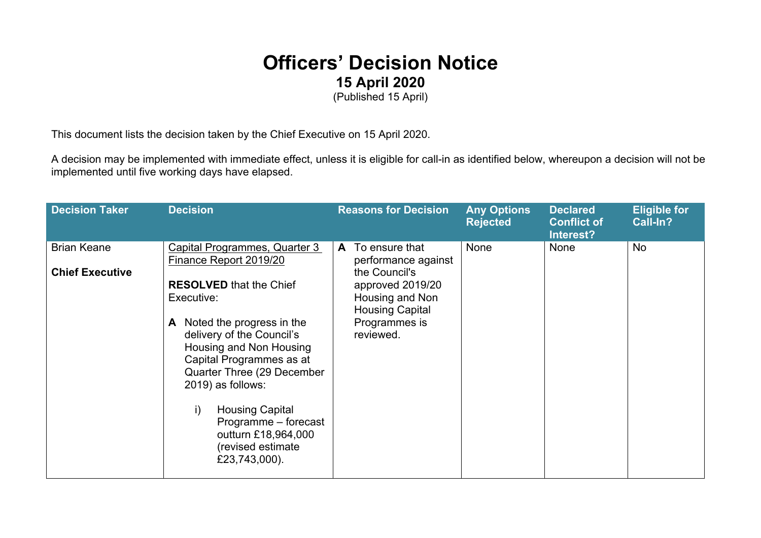## **Officers' Decision Notice 15 April 2020**

(Published 15 April)

This document lists the decision taken by the Chief Executive on 15 April 2020.

A decision may be implemented with immediate effect, unless it is eligible for call-in as identified below, whereupon a decision will not be implemented until five working days have elapsed.

| <b>Decision Taker</b>                        | <b>Decision</b>                                                                                                                                                                                                                                                                                                                                                                                       | <b>Reasons for Decision</b>                                                                                                                                | <b>Any Options</b><br><b>Rejected</b> | <b>Declared</b><br><b>Conflict of</b><br>Interest? | <b>Eligible for</b><br>Call-In? |
|----------------------------------------------|-------------------------------------------------------------------------------------------------------------------------------------------------------------------------------------------------------------------------------------------------------------------------------------------------------------------------------------------------------------------------------------------------------|------------------------------------------------------------------------------------------------------------------------------------------------------------|---------------------------------------|----------------------------------------------------|---------------------------------|
| <b>Brian Keane</b><br><b>Chief Executive</b> | Capital Programmes, Quarter 3<br>Finance Report 2019/20<br><b>RESOLVED</b> that the Chief<br>Executive:<br>Noted the progress in the<br>A<br>delivery of the Council's<br>Housing and Non Housing<br>Capital Programmes as at<br>Quarter Three (29 December<br>2019) as follows:<br><b>Housing Capital</b><br>i)<br>Programme - forecast<br>outturn £18,964,000<br>(revised estimate<br>£23,743,000). | To ensure that<br>A<br>performance against<br>the Council's<br>approved 2019/20<br>Housing and Non<br><b>Housing Capital</b><br>Programmes is<br>reviewed. | None                                  | <b>None</b>                                        | <b>No</b>                       |